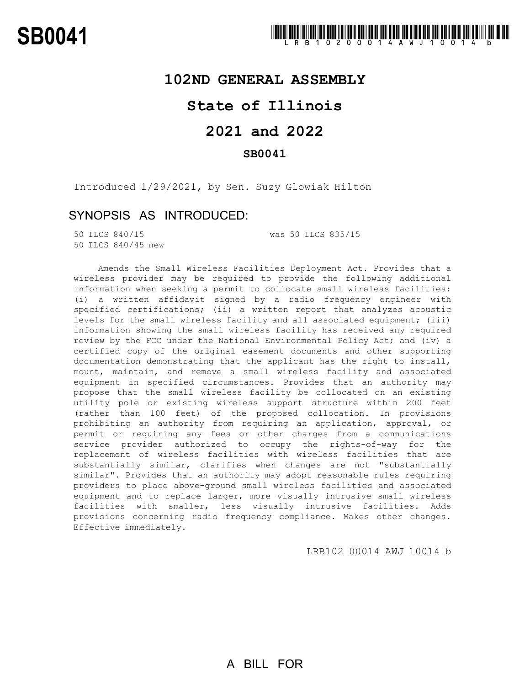## **102ND GENERAL ASSEMBLY**

# **State of Illinois**

# **2021 and 2022**

### **SB0041**

Introduced 1/29/2021, by Sen. Suzy Glowiak Hilton

## SYNOPSIS AS INTRODUCED:

50 ILCS 840/45 new

50 ILCS 840/15 was 50 ILCS 835/15

Amends the Small Wireless Facilities Deployment Act. Provides that a wireless provider may be required to provide the following additional information when seeking a permit to collocate small wireless facilities: (i) a written affidavit signed by a radio frequency engineer with specified certifications; (ii) a written report that analyzes acoustic levels for the small wireless facility and all associated equipment; (iii) information showing the small wireless facility has received any required review by the FCC under the National Environmental Policy Act; and (iv) a certified copy of the original easement documents and other supporting documentation demonstrating that the applicant has the right to install, mount, maintain, and remove a small wireless facility and associated equipment in specified circumstances. Provides that an authority may propose that the small wireless facility be collocated on an existing utility pole or existing wireless support structure within 200 feet (rather than 100 feet) of the proposed collocation. In provisions prohibiting an authority from requiring an application, approval, or permit or requiring any fees or other charges from a communications service provider authorized to occupy the rights-of-way for the replacement of wireless facilities with wireless facilities that are substantially similar, clarifies when changes are not "substantially similar". Provides that an authority may adopt reasonable rules requiring providers to place above-ground small wireless facilities and associated equipment and to replace larger, more visually intrusive small wireless facilities with smaller, less visually intrusive facilities. Adds provisions concerning radio frequency compliance. Makes other changes. Effective immediately.

LRB102 00014 AWJ 10014 b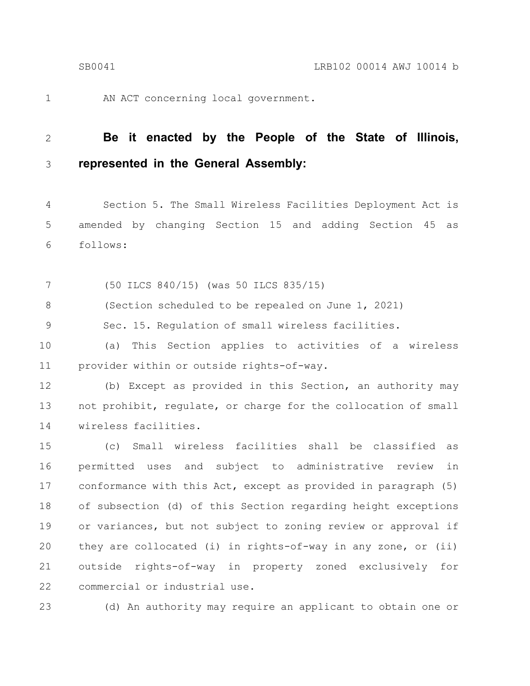AN ACT concerning local government. 1

#### **Be it enacted by the People of the State of Illinois, represented in the General Assembly:** 2 3

Section 5. The Small Wireless Facilities Deployment Act is amended by changing Section 15 and adding Section 45 as follows: 4 5 6

(50 ILCS 840/15) (was 50 ILCS 835/15) 7

(Section scheduled to be repealed on June 1, 2021) 8

Sec. 15. Regulation of small wireless facilities. 9

(a) This Section applies to activities of a wireless provider within or outside rights-of-way. 10 11

(b) Except as provided in this Section, an authority may not prohibit, regulate, or charge for the collocation of small wireless facilities. 12 13 14

(c) Small wireless facilities shall be classified as permitted uses and subject to administrative review in conformance with this Act, except as provided in paragraph (5) of subsection (d) of this Section regarding height exceptions or variances, but not subject to zoning review or approval if they are collocated (i) in rights-of-way in any zone, or (ii) outside rights-of-way in property zoned exclusively for commercial or industrial use. 15 16 17 18 19 20 21 22

23

(d) An authority may require an applicant to obtain one or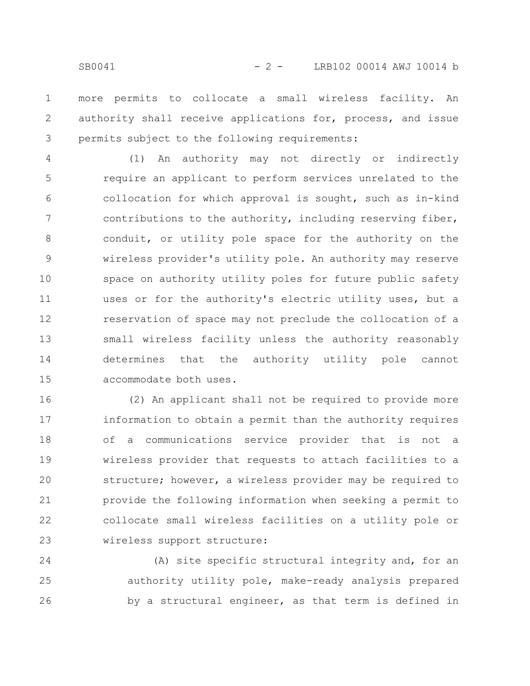more permits to collocate a small wireless facility. An authority shall receive applications for, process, and issue permits subject to the following requirements: 1 2 3

(1) An authority may not directly or indirectly require an applicant to perform services unrelated to the collocation for which approval is sought, such as in-kind contributions to the authority, including reserving fiber, conduit, or utility pole space for the authority on the wireless provider's utility pole. An authority may reserve space on authority utility poles for future public safety uses or for the authority's electric utility uses, but a reservation of space may not preclude the collocation of a small wireless facility unless the authority reasonably determines that the authority utility pole cannot accommodate both uses. 4 5 6 7 8 9 10 11 12 13 14 15

(2) An applicant shall not be required to provide more information to obtain a permit than the authority requires of a communications service provider that is not a wireless provider that requests to attach facilities to a structure; however, a wireless provider may be required to provide the following information when seeking a permit to collocate small wireless facilities on a utility pole or wireless support structure: 16 17 18 19 20 21 22 23

(A) site specific structural integrity and, for an authority utility pole, make-ready analysis prepared by a structural engineer, as that term is defined in 24 25 26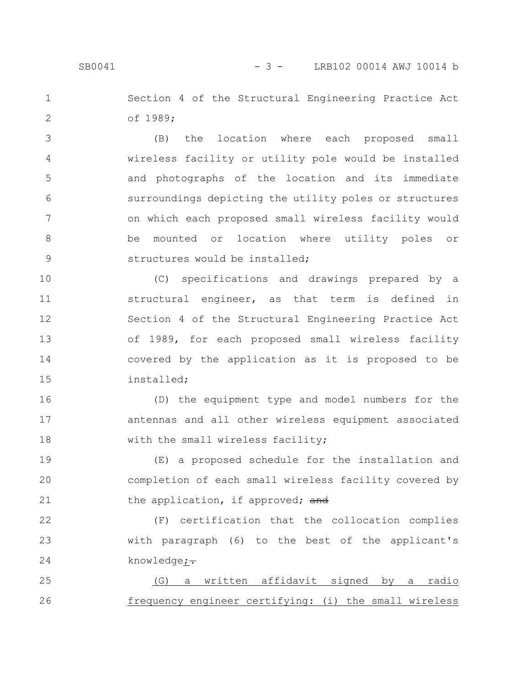### SB0041 - 3 - LRB102 00014 AWJ 10014 b

Section 4 of the Structural Engineering Practice Act of 1989; 1 2

(B) the location where each proposed small wireless facility or utility pole would be installed and photographs of the location and its immediate surroundings depicting the utility poles or structures on which each proposed small wireless facility would be mounted or location where utility poles or structures would be installed; 3 4 5 6 7 8 9

(C) specifications and drawings prepared by a structural engineer, as that term is defined in Section 4 of the Structural Engineering Practice Act of 1989, for each proposed small wireless facility covered by the application as it is proposed to be installed; 10 11 12 13 14 15

(D) the equipment type and model numbers for the antennas and all other wireless equipment associated with the small wireless facility; 16 17 18

(E) a proposed schedule for the installation and completion of each small wireless facility covered by the application, if approved; and 19 20 21

(F) certification that the collocation complies with paragraph (6) to the best of the applicant's knowledge;-22 23 24

(G) a written affidavit signed by a radio frequency engineer certifying: (i) the small wireless 25 26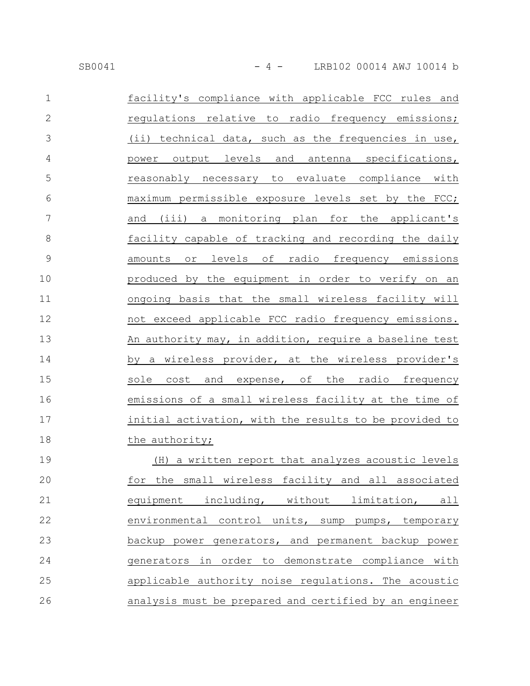| $\mathbf{1}$   | facility's compliance with applicable FCC rules and    |
|----------------|--------------------------------------------------------|
| $\overline{2}$ | regulations relative to radio frequency emissions;     |
| 3              | (ii) technical data, such as the frequencies in use,   |
| $\overline{4}$ | power output levels and antenna specifications,        |
| 5              | reasonably necessary to evaluate compliance with       |
| 6              | maximum permissible exposure levels set by the FCC;    |
| 7              | and (iii) a monitoring plan for the applicant's        |
| $8\,$          | facility capable of tracking and recording the daily   |
| $\mathsf 9$    | amounts or levels of radio frequency emissions         |
| 10             | produced by the equipment in order to verify on an     |
| 11             | ongoing basis that the small wireless facility will    |
| 12             | not exceed applicable FCC radio frequency emissions.   |
| 13             | An authority may, in addition, require a baseline test |
| 14             | by a wireless provider, at the wireless provider's     |
| 15             | sole cost and expense, of the radio frequency          |
| 16             | emissions of a small wireless facility at the time of  |
| 17             | initial activation, with the results to be provided to |
| 18             | the authority;                                         |
| 19             | (H) a written report that analyzes acoustic levels     |
| 20             | the small wireless facility and all associated<br>for  |
| 21             | equipment including, without limitation, all           |
| 22             | environmental control units, sump pumps, temporary     |
| 23             | backup power generators, and permanent backup power    |
| 24             | generators in order to demonstrate compliance with     |
| 25             | applicable authority noise regulations. The acoustic   |
| 26             | analysis must be prepared and certified by an engineer |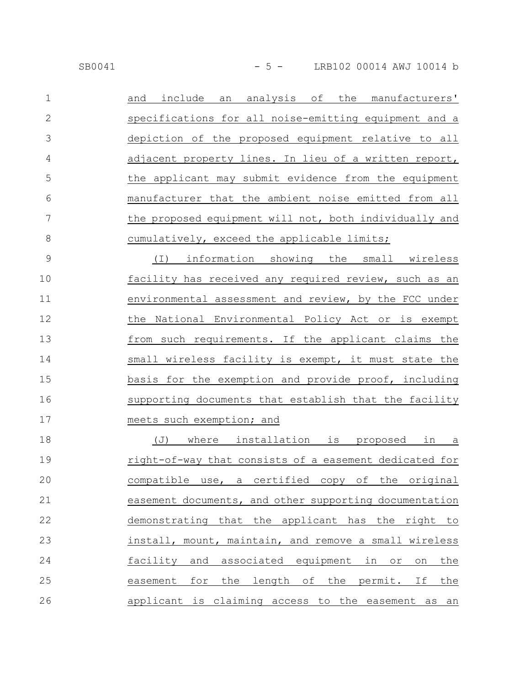| $\mathbf{1}$   | include an analysis of the manufacturers'<br>and        |
|----------------|---------------------------------------------------------|
| $\overline{2}$ | specifications for all noise-emitting equipment and a   |
| 3              | depiction of the proposed equipment relative to all     |
| 4              | adjacent property lines. In lieu of a written report,   |
| 5              | the applicant may submit evidence from the equipment    |
| 6              | manufacturer that the ambient noise emitted from all    |
| 7              | the proposed equipment will not, both individually and  |
| 8              | cumulatively, exceed the applicable limits;             |
| 9              | information showing the small wireless<br>$(\top)$      |
| 10             | facility has received any required review, such as an   |
| 11             | environmental assessment and review, by the FCC under   |
| 12             | the National Environmental Policy Act or is exempt      |
| 13             | from such requirements. If the applicant claims the     |
| 14             | small wireless facility is exempt, it must state the    |
| 15             | basis for the exemption and provide proof, including    |
| 16             | supporting documents that establish that the facility   |
| 17             | meets such exemption; and                               |
| 18             | where installation is proposed<br>(J)<br>in<br>$\Delta$ |
| 19             | right-of-way that consists of a easement dedicated for  |
| 20             | compatible use, a certified copy of the original        |

easement documents, and other supporting documentation demonstrating that the applicant has the right to install, mount, maintain, and remove a small wireless facility and associated equipment in or on the easement for the length of the permit. If the applicant is claiming access to the easement as an 21 22 23 24 25 26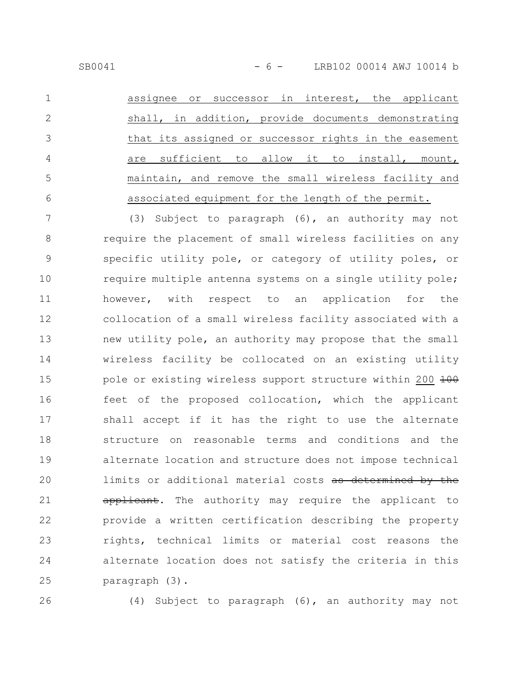SB0041 - 6 - LRB102 00014 AWJ 10014 b

assignee or successor in interest, the applicant shall, in addition, provide documents demonstrating that its assigned or successor rights in the easement are sufficient to allow it to install, mount, maintain, and remove the small wireless facility and associated equipment for the length of the permit. 1 2 3 4 5 6

(3) Subject to paragraph (6), an authority may not require the placement of small wireless facilities on any specific utility pole, or category of utility poles, or require multiple antenna systems on a single utility pole; however, with respect to an application for the collocation of a small wireless facility associated with a new utility pole, an authority may propose that the small wireless facility be collocated on an existing utility pole or existing wireless support structure within 200 100 feet of the proposed collocation, which the applicant shall accept if it has the right to use the alternate structure on reasonable terms and conditions and the alternate location and structure does not impose technical limits or additional material costs as determined by the applicant. The authority may require the applicant to provide a written certification describing the property rights, technical limits or material cost reasons the alternate location does not satisfy the criteria in this paragraph (3). 7 8 9 10 11 12 13 14 15 16 17 18 19 20 21 22 23 24 25

26

(4) Subject to paragraph (6), an authority may not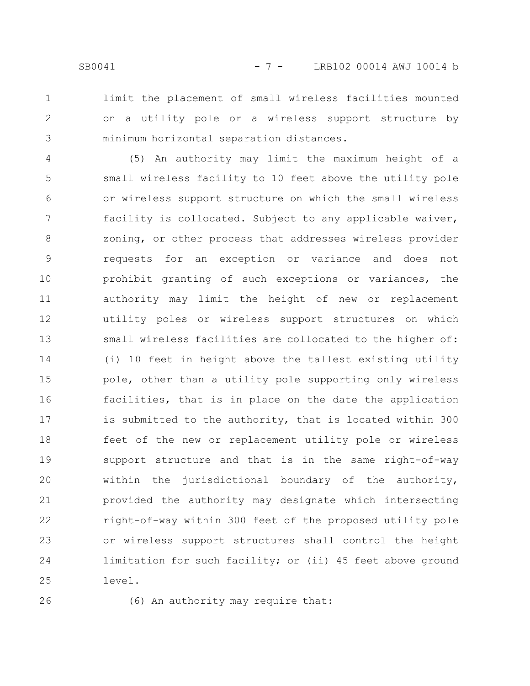1 2 3

limit the placement of small wireless facilities mounted on a utility pole or a wireless support structure by minimum horizontal separation distances.

(5) An authority may limit the maximum height of a small wireless facility to 10 feet above the utility pole or wireless support structure on which the small wireless facility is collocated. Subject to any applicable waiver, zoning, or other process that addresses wireless provider requests for an exception or variance and does not prohibit granting of such exceptions or variances, the authority may limit the height of new or replacement utility poles or wireless support structures on which small wireless facilities are collocated to the higher of: (i) 10 feet in height above the tallest existing utility pole, other than a utility pole supporting only wireless facilities, that is in place on the date the application is submitted to the authority, that is located within 300 feet of the new or replacement utility pole or wireless support structure and that is in the same right-of-way within the jurisdictional boundary of the authority, provided the authority may designate which intersecting right-of-way within 300 feet of the proposed utility pole or wireless support structures shall control the height limitation for such facility; or (ii) 45 feet above ground level. 4 5 6 7 8 9 10 11 12 13 14 15 16 17 18 19 20 21 22 23 24 25

26

(6) An authority may require that: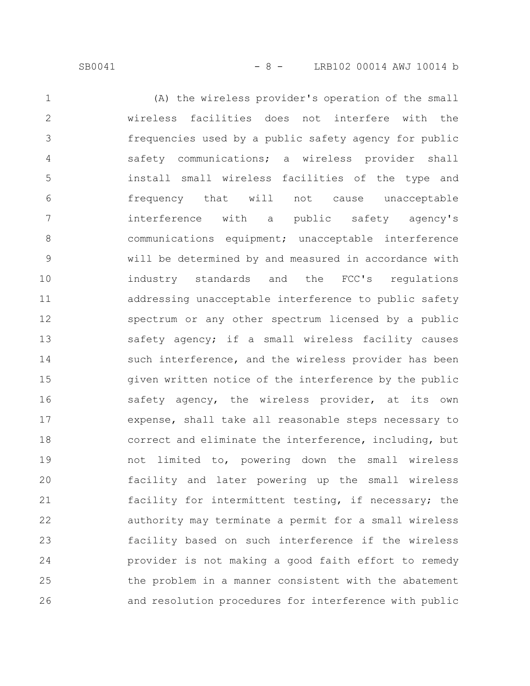SB0041 - 8 - LRB102 00014 AWJ 10014 b

(A) the wireless provider's operation of the small wireless facilities does not interfere with the frequencies used by a public safety agency for public safety communications; a wireless provider shall install small wireless facilities of the type and frequency that will not cause unacceptable interference with a public safety agency's communications equipment; unacceptable interference will be determined by and measured in accordance with industry standards and the FCC's regulations addressing unacceptable interference to public safety spectrum or any other spectrum licensed by a public safety agency; if a small wireless facility causes such interference, and the wireless provider has been given written notice of the interference by the public safety agency, the wireless provider, at its own expense, shall take all reasonable steps necessary to correct and eliminate the interference, including, but not limited to, powering down the small wireless facility and later powering up the small wireless facility for intermittent testing, if necessary; the authority may terminate a permit for a small wireless facility based on such interference if the wireless provider is not making a good faith effort to remedy the problem in a manner consistent with the abatement and resolution procedures for interference with public 1 2 3 4 5 6 7 8 9 10 11 12 13 14 15 16 17 18 19 20 21 22 23 24 25 26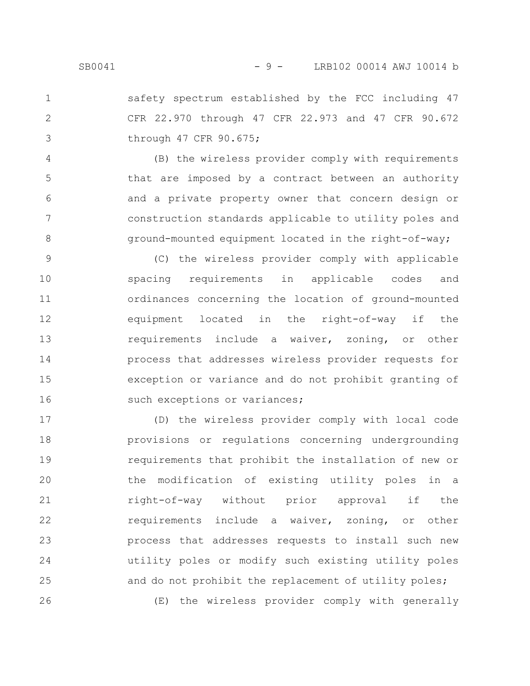1

2

3

safety spectrum established by the FCC including 47 CFR 22.970 through 47 CFR 22.973 and 47 CFR 90.672 through 47 CFR 90.675;

(B) the wireless provider comply with requirements that are imposed by a contract between an authority and a private property owner that concern design or construction standards applicable to utility poles and ground-mounted equipment located in the right-of-way; 4 5 6 7 8

(C) the wireless provider comply with applicable spacing requirements in applicable codes and ordinances concerning the location of ground-mounted equipment located in the right-of-way if the requirements include a waiver, zoning, or other process that addresses wireless provider requests for exception or variance and do not prohibit granting of such exceptions or variances; 9 10 11 12 13 14 15 16

(D) the wireless provider comply with local code provisions or regulations concerning undergrounding requirements that prohibit the installation of new or the modification of existing utility poles in a right-of-way without prior approval if the requirements include a waiver, zoning, or other process that addresses requests to install such new utility poles or modify such existing utility poles and do not prohibit the replacement of utility poles; (E) the wireless provider comply with generally 17 18 19 20 21 22 23 24 25 26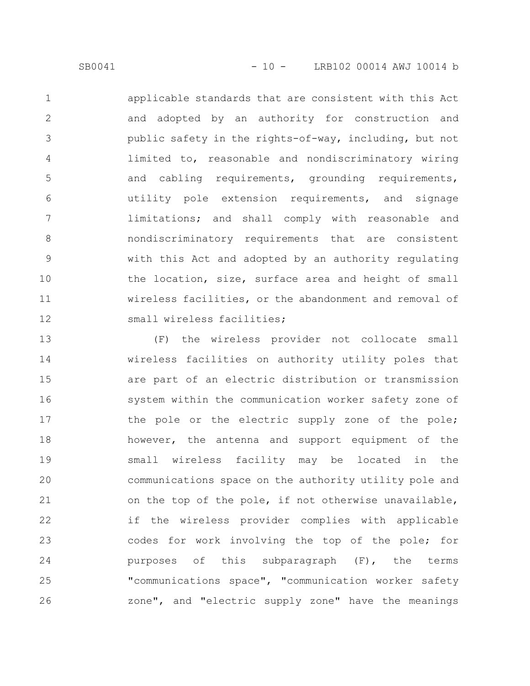applicable standards that are consistent with this Act and adopted by an authority for construction and public safety in the rights-of-way, including, but not limited to, reasonable and nondiscriminatory wiring and cabling requirements, grounding requirements, utility pole extension requirements, and signage limitations; and shall comply with reasonable and nondiscriminatory requirements that are consistent with this Act and adopted by an authority regulating the location, size, surface area and height of small wireless facilities, or the abandonment and removal of small wireless facilities; 1 2 3 4 5 6 7 8 9 10 11 12

(F) the wireless provider not collocate small wireless facilities on authority utility poles that are part of an electric distribution or transmission system within the communication worker safety zone of the pole or the electric supply zone of the pole; however, the antenna and support equipment of the small wireless facility may be located in the communications space on the authority utility pole and on the top of the pole, if not otherwise unavailable, if the wireless provider complies with applicable codes for work involving the top of the pole; for purposes of this subparagraph (F), the terms "communications space", "communication worker safety zone", and "electric supply zone" have the meanings 13 14 15 16 17 18 19 20 21 22 23 24 25 26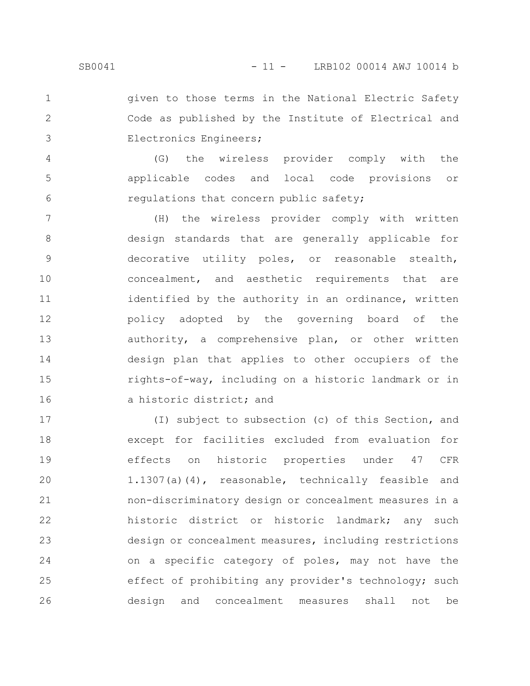given to those terms in the National Electric Safety Code as published by the Institute of Electrical and Electronics Engineers; 1 2 3

(G) the wireless provider comply with the applicable codes and local code provisions or regulations that concern public safety; 4 5 6

(H) the wireless provider comply with written design standards that are generally applicable for decorative utility poles, or reasonable stealth, concealment, and aesthetic requirements that are identified by the authority in an ordinance, written policy adopted by the governing board of the authority, a comprehensive plan, or other written design plan that applies to other occupiers of the rights-of-way, including on a historic landmark or in a historic district; and 7 8 9 10 11 12 13 14 15 16

(I) subject to subsection (c) of this Section, and except for facilities excluded from evaluation for effects on historic properties under 47 CFR 1.1307(a)(4), reasonable, technically feasible and non-discriminatory design or concealment measures in a historic district or historic landmark; any such design or concealment measures, including restrictions on a specific category of poles, may not have the effect of prohibiting any provider's technology; such design and concealment measures shall not be 17 18 19 20 21 22 23 24 25 26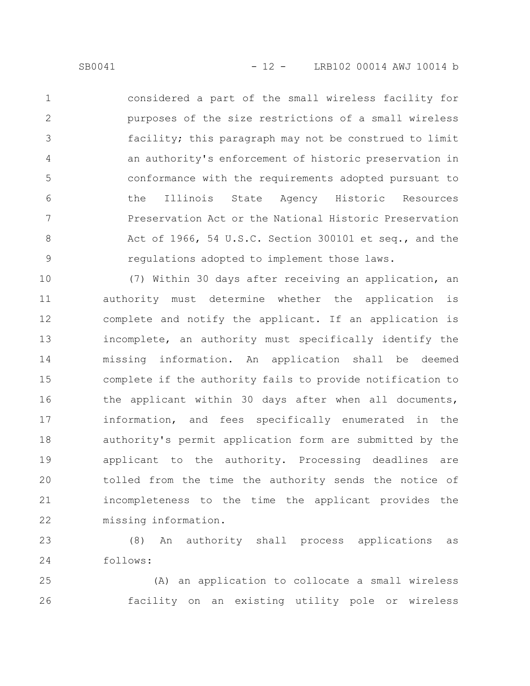considered a part of the small wireless facility for purposes of the size restrictions of a small wireless facility; this paragraph may not be construed to limit an authority's enforcement of historic preservation in conformance with the requirements adopted pursuant to the Illinois State Agency Historic Resources Preservation Act or the National Historic Preservation Act of 1966, 54 U.S.C. Section 300101 et seq., and the regulations adopted to implement those laws. 1 2 3 4 5 6 7 8 9

(7) Within 30 days after receiving an application, an authority must determine whether the application is complete and notify the applicant. If an application is incomplete, an authority must specifically identify the missing information. An application shall be deemed complete if the authority fails to provide notification to the applicant within 30 days after when all documents, information, and fees specifically enumerated in the authority's permit application form are submitted by the applicant to the authority. Processing deadlines are tolled from the time the authority sends the notice of incompleteness to the time the applicant provides the missing information. 10 11 12 13 14 15 16 17 18 19 20 21 22

(8) An authority shall process applications as follows: 23 24

(A) an application to collocate a small wireless facility on an existing utility pole or wireless 25 26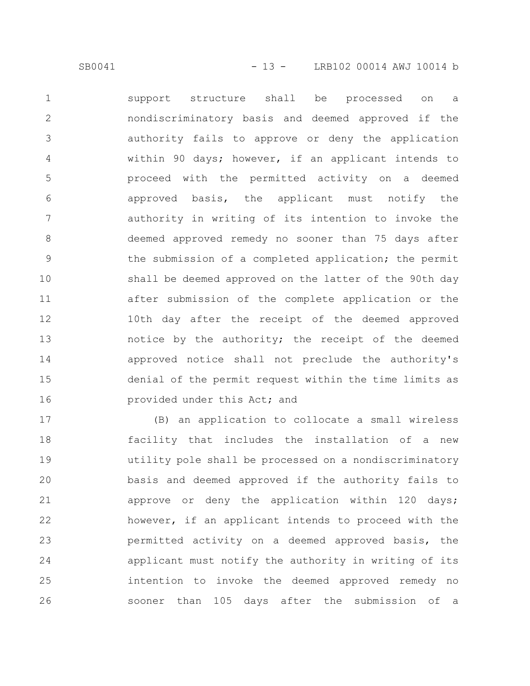support structure shall be processed on a nondiscriminatory basis and deemed approved if the authority fails to approve or deny the application within 90 days; however, if an applicant intends to proceed with the permitted activity on a deemed approved basis, the applicant must notify the authority in writing of its intention to invoke the deemed approved remedy no sooner than 75 days after the submission of a completed application; the permit shall be deemed approved on the latter of the 90th day after submission of the complete application or the 10th day after the receipt of the deemed approved notice by the authority; the receipt of the deemed approved notice shall not preclude the authority's denial of the permit request within the time limits as provided under this Act; and 1 2 3 4 5 6 7 8 9 10 11 12 13 14 15 16

(B) an application to collocate a small wireless facility that includes the installation of a new utility pole shall be processed on a nondiscriminatory basis and deemed approved if the authority fails to approve or deny the application within 120 days; however, if an applicant intends to proceed with the permitted activity on a deemed approved basis, the applicant must notify the authority in writing of its intention to invoke the deemed approved remedy no sooner than 105 days after the submission of a 17 18 19 20 21 22 23 24 25 26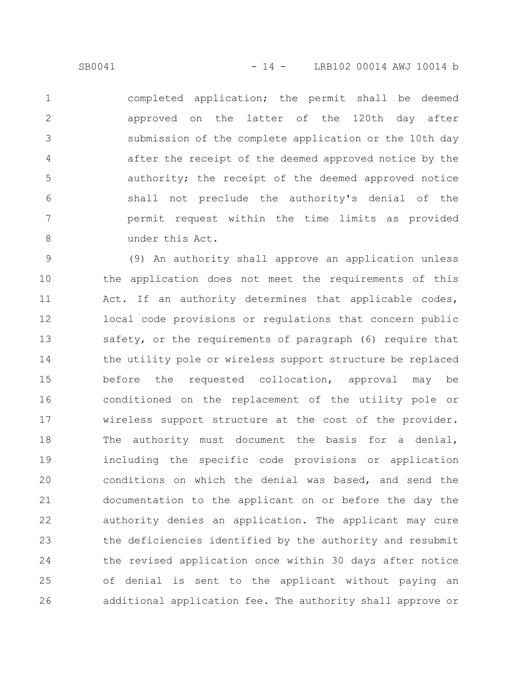completed application; the permit shall be deemed approved on the latter of the 120th day after submission of the complete application or the 10th day after the receipt of the deemed approved notice by the authority; the receipt of the deemed approved notice shall not preclude the authority's denial of the permit request within the time limits as provided under this Act. 1 2 3 4 5 6 7 8

(9) An authority shall approve an application unless the application does not meet the requirements of this Act. If an authority determines that applicable codes, local code provisions or regulations that concern public safety, or the requirements of paragraph (6) require that the utility pole or wireless support structure be replaced before the requested collocation, approval may be conditioned on the replacement of the utility pole or wireless support structure at the cost of the provider. The authority must document the basis for a denial, including the specific code provisions or application conditions on which the denial was based, and send the documentation to the applicant on or before the day the authority denies an application. The applicant may cure the deficiencies identified by the authority and resubmit the revised application once within 30 days after notice of denial is sent to the applicant without paying an additional application fee. The authority shall approve or 9 10 11 12 13 14 15 16 17 18 19 20 21 22 23 24 25 26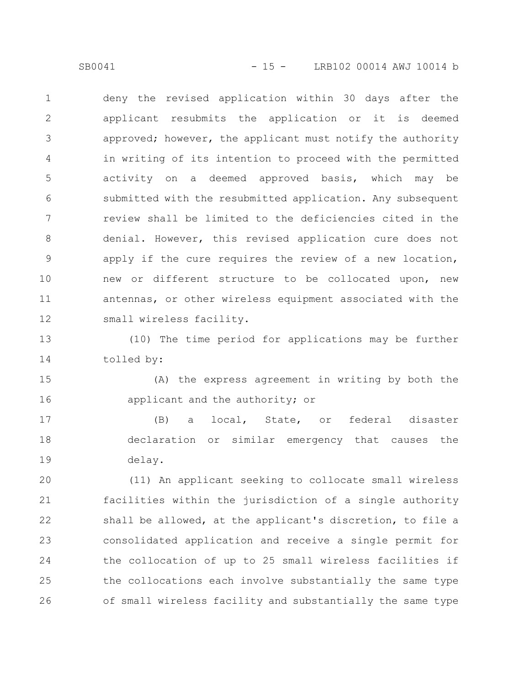SB0041 - 15 - LRB102 00014 AWJ 10014 b

deny the revised application within 30 days after the applicant resubmits the application or it is deemed approved; however, the applicant must notify the authority in writing of its intention to proceed with the permitted activity on a deemed approved basis, which may be submitted with the resubmitted application. Any subsequent review shall be limited to the deficiencies cited in the denial. However, this revised application cure does not apply if the cure requires the review of a new location, new or different structure to be collocated upon, new antennas, or other wireless equipment associated with the small wireless facility. 1 2 3 4 5 6 7 8 9 10 11 12

(10) The time period for applications may be further tolled by: 13 14

(A) the express agreement in writing by both the applicant and the authority; or 15 16

(B) a local, State, or federal disaster declaration or similar emergency that causes the delay. 17 18 19

(11) An applicant seeking to collocate small wireless facilities within the jurisdiction of a single authority shall be allowed, at the applicant's discretion, to file a consolidated application and receive a single permit for the collocation of up to 25 small wireless facilities if the collocations each involve substantially the same type of small wireless facility and substantially the same type 20 21 22 23 24 25 26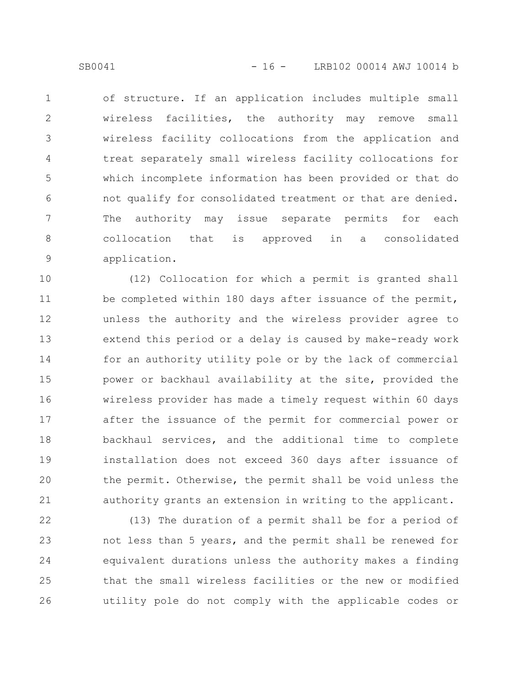of structure. If an application includes multiple small wireless facilities, the authority may remove small wireless facility collocations from the application and treat separately small wireless facility collocations for which incomplete information has been provided or that do not qualify for consolidated treatment or that are denied. The authority may issue separate permits for each collocation that is approved in a consolidated application. 1 2 3 4 5 6 7 8 9

(12) Collocation for which a permit is granted shall be completed within 180 days after issuance of the permit, unless the authority and the wireless provider agree to extend this period or a delay is caused by make-ready work for an authority utility pole or by the lack of commercial power or backhaul availability at the site, provided the wireless provider has made a timely request within 60 days after the issuance of the permit for commercial power or backhaul services, and the additional time to complete installation does not exceed 360 days after issuance of the permit. Otherwise, the permit shall be void unless the authority grants an extension in writing to the applicant. 10 11 12 13 14 15 16 17 18 19 20 21

(13) The duration of a permit shall be for a period of not less than 5 years, and the permit shall be renewed for equivalent durations unless the authority makes a finding that the small wireless facilities or the new or modified utility pole do not comply with the applicable codes or 22 23 24 25 26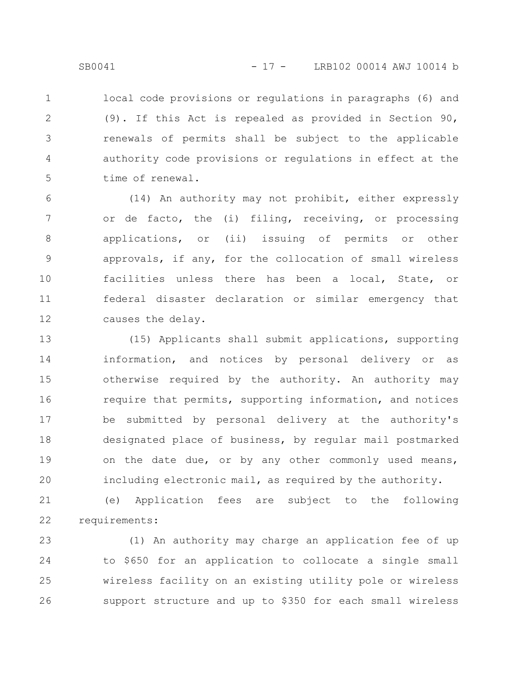local code provisions or regulations in paragraphs (6) and (9). If this Act is repealed as provided in Section 90, renewals of permits shall be subject to the applicable authority code provisions or regulations in effect at the time of renewal. 1 2 3 4 5

(14) An authority may not prohibit, either expressly or de facto, the (i) filing, receiving, or processing applications, or (ii) issuing of permits or other approvals, if any, for the collocation of small wireless facilities unless there has been a local, State, or federal disaster declaration or similar emergency that causes the delay. 6 7 8 9 10 11 12

(15) Applicants shall submit applications, supporting information, and notices by personal delivery or as otherwise required by the authority. An authority may require that permits, supporting information, and notices be submitted by personal delivery at the authority's designated place of business, by regular mail postmarked on the date due, or by any other commonly used means, including electronic mail, as required by the authority. 13 14 15 16 17 18 19 20

(e) Application fees are subject to the following requirements: 21 22

(1) An authority may charge an application fee of up to \$650 for an application to collocate a single small wireless facility on an existing utility pole or wireless support structure and up to \$350 for each small wireless 23 24 25 26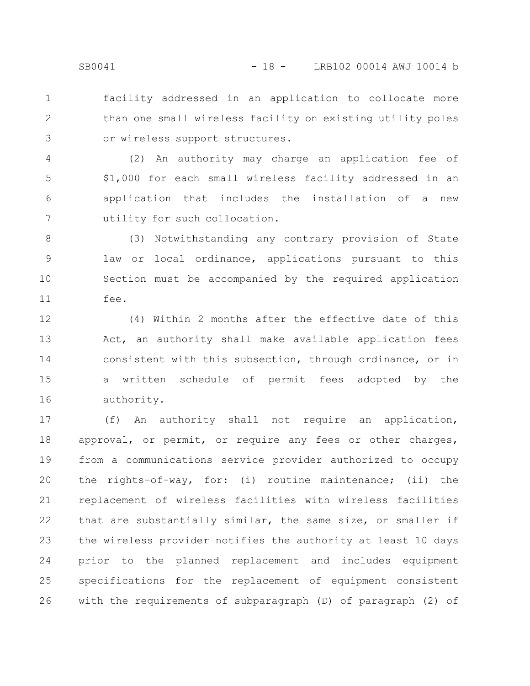facility addressed in an application to collocate more than one small wireless facility on existing utility poles or wireless support structures. 1 2 3

(2) An authority may charge an application fee of \$1,000 for each small wireless facility addressed in an application that includes the installation of a new utility for such collocation. 4 5 6 7

(3) Notwithstanding any contrary provision of State law or local ordinance, applications pursuant to this Section must be accompanied by the required application fee. 8 9 10 11

(4) Within 2 months after the effective date of this Act, an authority shall make available application fees consistent with this subsection, through ordinance, or in a written schedule of permit fees adopted by the authority. 12 13 14 15 16

(f) An authority shall not require an application, approval, or permit, or require any fees or other charges, from a communications service provider authorized to occupy the rights-of-way, for: (i) routine maintenance; (ii) the replacement of wireless facilities with wireless facilities that are substantially similar, the same size, or smaller if the wireless provider notifies the authority at least 10 days prior to the planned replacement and includes equipment specifications for the replacement of equipment consistent with the requirements of subparagraph (D) of paragraph (2) of 17 18 19 20 21 22 23 24 25 26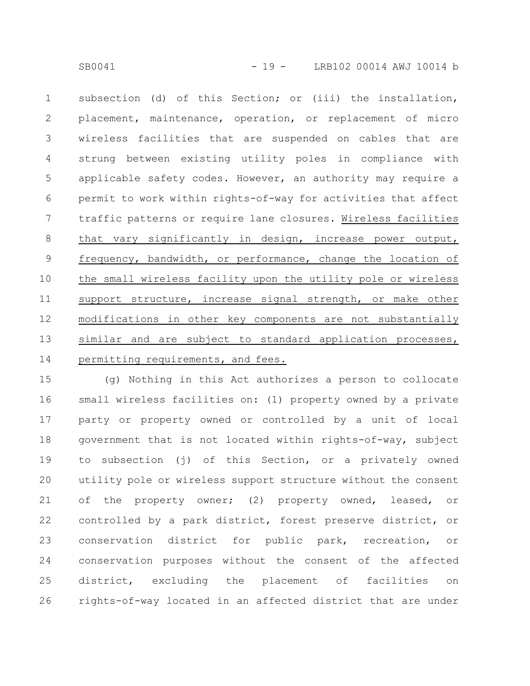subsection (d) of this Section; or (iii) the installation, placement, maintenance, operation, or replacement of micro wireless facilities that are suspended on cables that are strung between existing utility poles in compliance with applicable safety codes. However, an authority may require a permit to work within rights-of-way for activities that affect traffic patterns or require lane closures. Wireless facilities that vary significantly in design, increase power output, frequency, bandwidth, or performance, change the location of the small wireless facility upon the utility pole or wireless support structure, increase signal strength, or make other modifications in other key components are not substantially similar and are subject to standard application processes, permitting requirements, and fees. 1 2 3 4 5 6 7 8 9 10 11 12 13 14

(g) Nothing in this Act authorizes a person to collocate small wireless facilities on: (1) property owned by a private party or property owned or controlled by a unit of local government that is not located within rights-of-way, subject to subsection (j) of this Section, or a privately owned utility pole or wireless support structure without the consent of the property owner; (2) property owned, leased, or controlled by a park district, forest preserve district, or conservation district for public park, recreation, or conservation purposes without the consent of the affected district, excluding the placement of facilities on rights-of-way located in an affected district that are under 15 16 17 18 19 20 21 22 23 24 25 26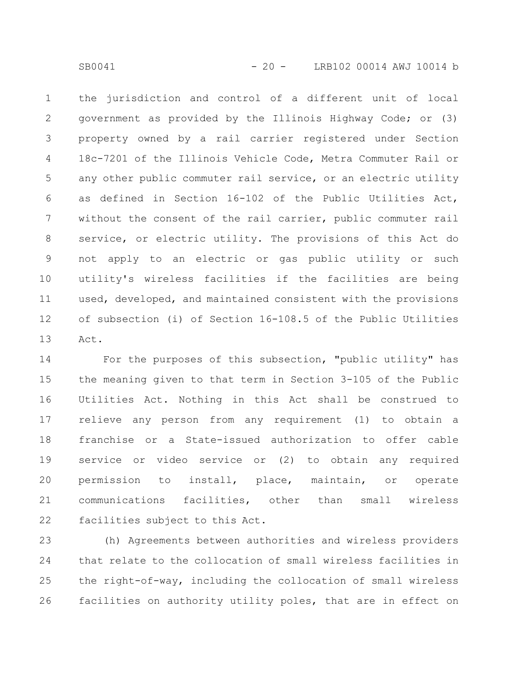the jurisdiction and control of a different unit of local government as provided by the Illinois Highway Code; or (3) property owned by a rail carrier registered under Section 18c-7201 of the Illinois Vehicle Code, Metra Commuter Rail or any other public commuter rail service, or an electric utility as defined in Section 16-102 of the Public Utilities Act, without the consent of the rail carrier, public commuter rail service, or electric utility. The provisions of this Act do not apply to an electric or gas public utility or such utility's wireless facilities if the facilities are being used, developed, and maintained consistent with the provisions of subsection (i) of Section 16-108.5 of the Public Utilities Act. 1 2 3 4 5 6 7 8 9 10 11 12 13

For the purposes of this subsection, "public utility" has the meaning given to that term in Section 3-105 of the Public Utilities Act. Nothing in this Act shall be construed to relieve any person from any requirement (1) to obtain a franchise or a State-issued authorization to offer cable service or video service or (2) to obtain any required permission to install, place, maintain, or operate communications facilities, other than small wireless facilities subject to this Act. 14 15 16 17 18 19 20 21 22

(h) Agreements between authorities and wireless providers that relate to the collocation of small wireless facilities in the right-of-way, including the collocation of small wireless facilities on authority utility poles, that are in effect on 23 24 25 26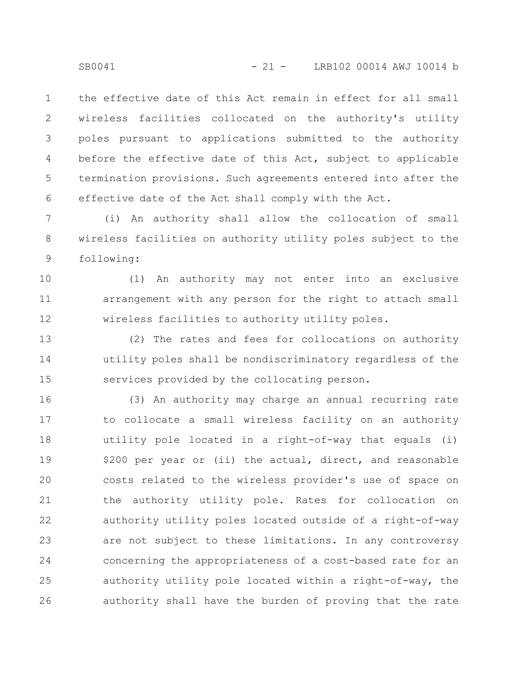the effective date of this Act remain in effect for all small wireless facilities collocated on the authority's utility poles pursuant to applications submitted to the authority before the effective date of this Act, subject to applicable termination provisions. Such agreements entered into after the effective date of the Act shall comply with the Act. 1 2 3 4 5 6

(i) An authority shall allow the collocation of small wireless facilities on authority utility poles subject to the following: 7 8 9

(1) An authority may not enter into an exclusive arrangement with any person for the right to attach small wireless facilities to authority utility poles. 10 11 12

(2) The rates and fees for collocations on authority utility poles shall be nondiscriminatory regardless of the services provided by the collocating person. 13 14 15

(3) An authority may charge an annual recurring rate to collocate a small wireless facility on an authority utility pole located in a right-of-way that equals (i) \$200 per year or (ii) the actual, direct, and reasonable costs related to the wireless provider's use of space on the authority utility pole. Rates for collocation on authority utility poles located outside of a right-of-way are not subject to these limitations. In any controversy concerning the appropriateness of a cost-based rate for an authority utility pole located within a right-of-way, the authority shall have the burden of proving that the rate 16 17 18 19 20 21 22 23 24 25 26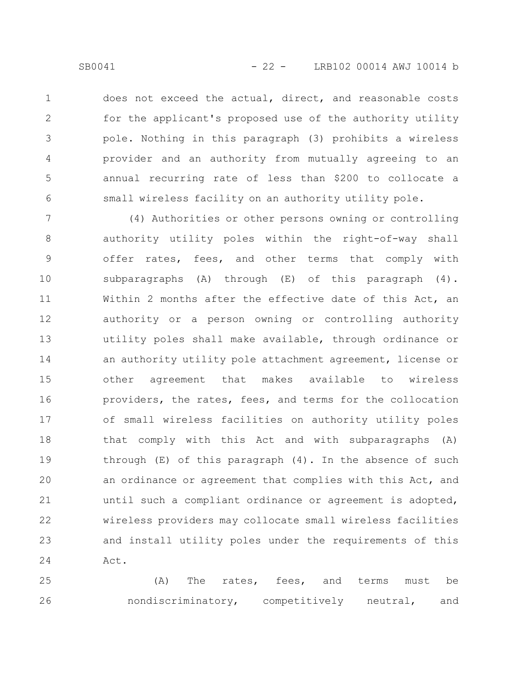does not exceed the actual, direct, and reasonable costs for the applicant's proposed use of the authority utility pole. Nothing in this paragraph (3) prohibits a wireless provider and an authority from mutually agreeing to an annual recurring rate of less than \$200 to collocate a small wireless facility on an authority utility pole. 1 2 3 4 5 6

(4) Authorities or other persons owning or controlling authority utility poles within the right-of-way shall offer rates, fees, and other terms that comply with subparagraphs  $(A)$  through  $(E)$  of this paragraph  $(4)$ . Within 2 months after the effective date of this Act, an authority or a person owning or controlling authority utility poles shall make available, through ordinance or an authority utility pole attachment agreement, license or other agreement that makes available to wireless providers, the rates, fees, and terms for the collocation of small wireless facilities on authority utility poles that comply with this Act and with subparagraphs (A) through  $(E)$  of this paragraph  $(4)$ . In the absence of such an ordinance or agreement that complies with this Act, and until such a compliant ordinance or agreement is adopted, wireless providers may collocate small wireless facilities and install utility poles under the requirements of this Act. 7 8 9 10 11 12 13 14 15 16 17 18 19 20 21 22 23 24

(A) The rates, fees, and terms must be nondiscriminatory, competitively neutral, and 25 26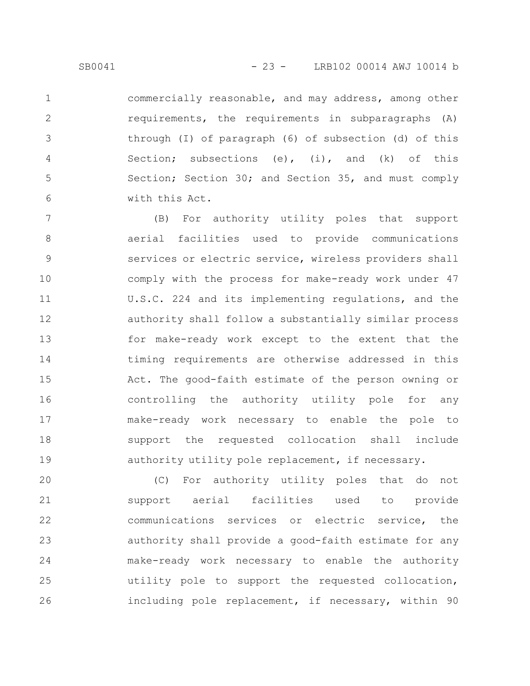1

2

3

4

5

6

commercially reasonable, and may address, among other requirements, the requirements in subparagraphs (A) through (I) of paragraph (6) of subsection (d) of this Section; subsections (e), (i), and (k) of this Section; Section 30; and Section 35, and must comply with this Act.

(B) For authority utility poles that support aerial facilities used to provide communications services or electric service, wireless providers shall comply with the process for make-ready work under 47 U.S.C. 224 and its implementing regulations, and the authority shall follow a substantially similar process for make-ready work except to the extent that the timing requirements are otherwise addressed in this Act. The good-faith estimate of the person owning or controlling the authority utility pole for any make-ready work necessary to enable the pole to support the requested collocation shall include authority utility pole replacement, if necessary. 7 8 9 10 11 12 13 14 15 16 17 18 19

(C) For authority utility poles that do not support aerial facilities used to provide communications services or electric service, the authority shall provide a good-faith estimate for any make-ready work necessary to enable the authority utility pole to support the requested collocation, including pole replacement, if necessary, within 90 20 21 22 23 24 25 26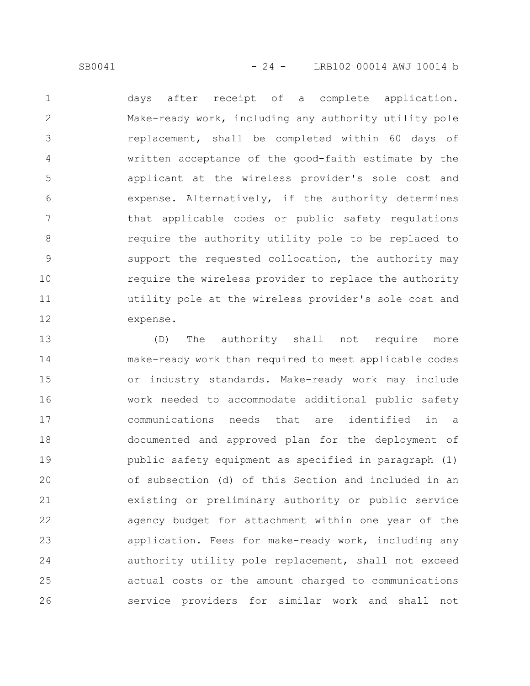SB0041 - 24 - LRB102 00014 AWJ 10014 b

days after receipt of a complete application. Make-ready work, including any authority utility pole replacement, shall be completed within 60 days of written acceptance of the good-faith estimate by the applicant at the wireless provider's sole cost and expense. Alternatively, if the authority determines that applicable codes or public safety regulations require the authority utility pole to be replaced to support the requested collocation, the authority may require the wireless provider to replace the authority utility pole at the wireless provider's sole cost and expense. 1 2 3 4 5 6 7 8 9 10 11 12

(D) The authority shall not require more make-ready work than required to meet applicable codes or industry standards. Make-ready work may include work needed to accommodate additional public safety communications needs that are identified in a documented and approved plan for the deployment of public safety equipment as specified in paragraph (1) of subsection (d) of this Section and included in an existing or preliminary authority or public service agency budget for attachment within one year of the application. Fees for make-ready work, including any authority utility pole replacement, shall not exceed actual costs or the amount charged to communications service providers for similar work and shall not 13 14 15 16 17 18 19 20 21 22 23 24 25 26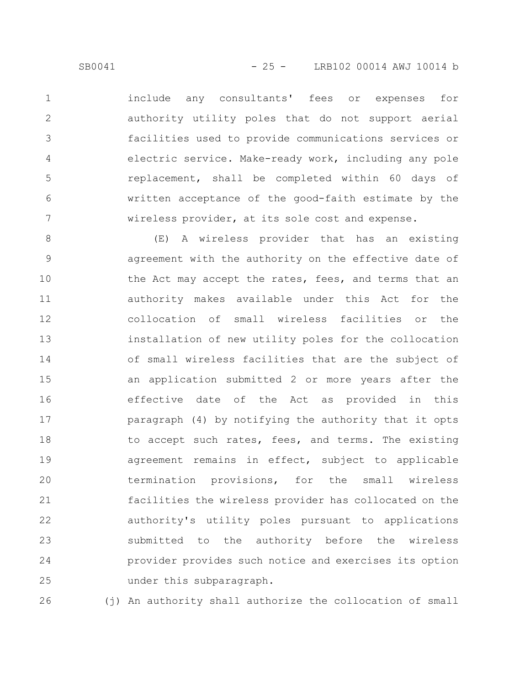include any consultants' fees or expenses for authority utility poles that do not support aerial facilities used to provide communications services or electric service. Make-ready work, including any pole replacement, shall be completed within 60 days of written acceptance of the good-faith estimate by the wireless provider, at its sole cost and expense. 1 2 3 4 5 6 7

(E) A wireless provider that has an existing agreement with the authority on the effective date of the Act may accept the rates, fees, and terms that an authority makes available under this Act for the collocation of small wireless facilities or the installation of new utility poles for the collocation of small wireless facilities that are the subject of an application submitted 2 or more years after the effective date of the Act as provided in this paragraph (4) by notifying the authority that it opts to accept such rates, fees, and terms. The existing agreement remains in effect, subject to applicable termination provisions, for the small wireless facilities the wireless provider has collocated on the authority's utility poles pursuant to applications submitted to the authority before the wireless provider provides such notice and exercises its option under this subparagraph. 8 9 10 11 12 13 14 15 16 17 18 19 20 21 22 23 24 25

(j) An authority shall authorize the collocation of small 26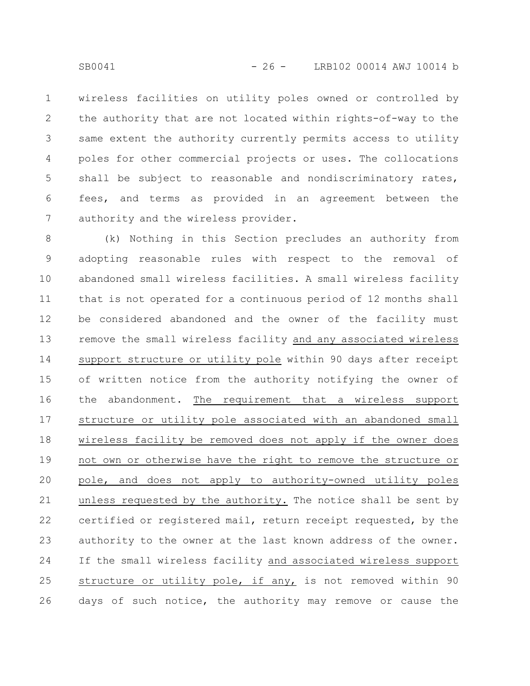wireless facilities on utility poles owned or controlled by the authority that are not located within rights-of-way to the same extent the authority currently permits access to utility poles for other commercial projects or uses. The collocations shall be subject to reasonable and nondiscriminatory rates, fees, and terms as provided in an agreement between the authority and the wireless provider. 1 2 3 4 5 6 7

(k) Nothing in this Section precludes an authority from adopting reasonable rules with respect to the removal of abandoned small wireless facilities. A small wireless facility that is not operated for a continuous period of 12 months shall be considered abandoned and the owner of the facility must remove the small wireless facility and any associated wireless support structure or utility pole within 90 days after receipt of written notice from the authority notifying the owner of the abandonment. The requirement that a wireless support structure or utility pole associated with an abandoned small wireless facility be removed does not apply if the owner does not own or otherwise have the right to remove the structure or pole, and does not apply to authority-owned utility poles unless requested by the authority. The notice shall be sent by certified or registered mail, return receipt requested, by the authority to the owner at the last known address of the owner. If the small wireless facility and associated wireless support structure or utility pole, if any, is not removed within 90 days of such notice, the authority may remove or cause the 8 9 10 11 12 13 14 15 16 17 18 19 20 21 22 23 24 25 26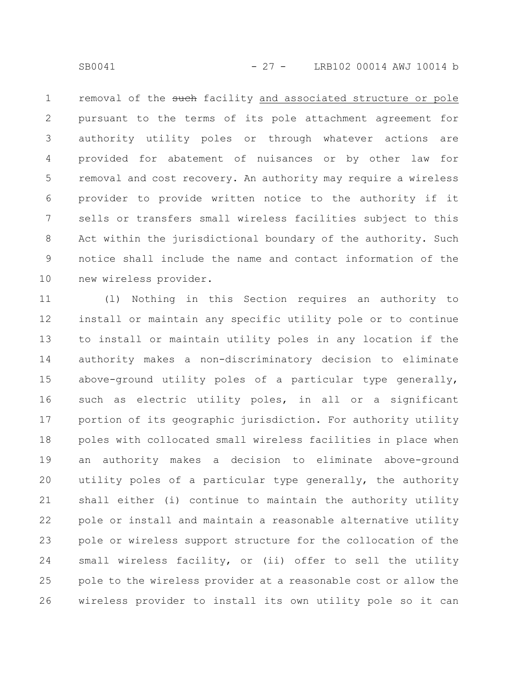removal of the such facility and associated structure or pole pursuant to the terms of its pole attachment agreement for authority utility poles or through whatever actions are provided for abatement of nuisances or by other law for removal and cost recovery. An authority may require a wireless provider to provide written notice to the authority if it sells or transfers small wireless facilities subject to this Act within the jurisdictional boundary of the authority. Such notice shall include the name and contact information of the new wireless provider. 1 2 3 4 5 6 7 8 9 10

(l) Nothing in this Section requires an authority to install or maintain any specific utility pole or to continue to install or maintain utility poles in any location if the authority makes a non-discriminatory decision to eliminate above-ground utility poles of a particular type generally, such as electric utility poles, in all or a significant portion of its geographic jurisdiction. For authority utility poles with collocated small wireless facilities in place when an authority makes a decision to eliminate above-ground utility poles of a particular type generally, the authority shall either (i) continue to maintain the authority utility pole or install and maintain a reasonable alternative utility pole or wireless support structure for the collocation of the small wireless facility, or (ii) offer to sell the utility pole to the wireless provider at a reasonable cost or allow the wireless provider to install its own utility pole so it can 11 12 13 14 15 16 17 18 19 20 21 22 23 24 25 26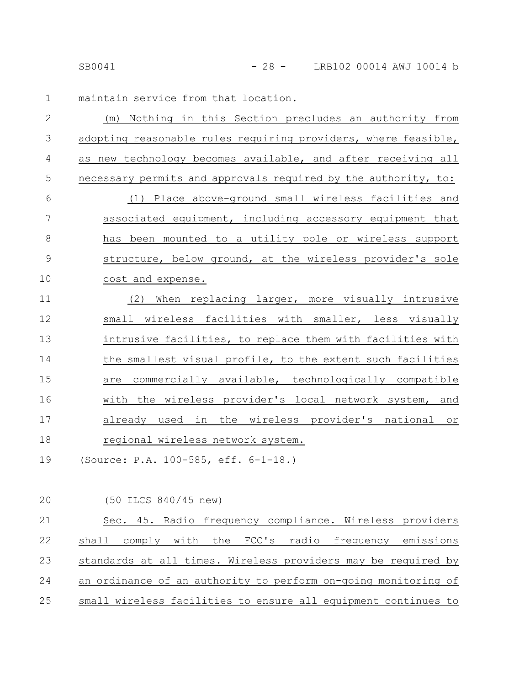maintain service from that location. 1

| $\mathbf{2}$ | (m) Nothing in this Section precludes an authority from        |
|--------------|----------------------------------------------------------------|
| 3            | adopting reasonable rules requiring providers, where feasible, |
| 4            | as new technology becomes available, and after receiving all   |
| 5            | necessary permits and approvals required by the authority, to: |
| 6            | (1) Place above-ground small wireless facilities and           |
| 7            | associated equipment, including accessory equipment that       |
| $8\,$        | has been mounted to a utility pole or wireless support         |
| 9            | structure, below ground, at the wireless provider's sole       |
| 10           | cost and expense.                                              |
| 11           | When replacing larger, more visually intrusive<br>(2)          |
| 12           | small wireless facilities with smaller, less visually          |
| 13           | intrusive facilities, to replace them with facilities with     |
| 14           | the smallest visual profile, to the extent such facilities     |
| 15           | are commercially available, technologically compatible         |
| 16           | with the wireless provider's local network system, and         |
| 17           | already used in the wireless provider's national or            |
| 18           | regional wireless network system.                              |
| 19           | (Source: P.A. 100-585, eff. 6-1-18.)                           |

(50 ILCS 840/45 new) 20

| 21 | Sec. 45. Radio frequency compliance. Wireless providers        |
|----|----------------------------------------------------------------|
| 22 | shall comply with the FCC's radio frequency emissions          |
| 23 | standards at all times. Wireless providers may be required by  |
| 24 | an ordinance of an authority to perform on-going monitoring of |
| 25 | small wireless facilities to ensure all equipment continues to |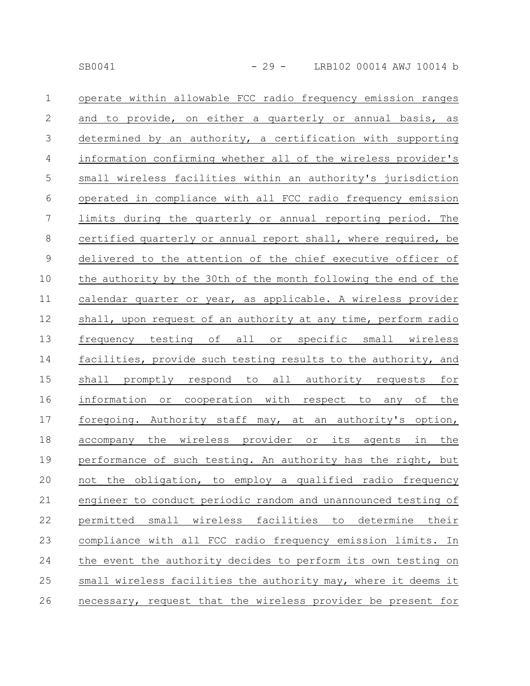| $\mathbf 1$    | operate within allowable FCC radio frequency emission ranges    |
|----------------|-----------------------------------------------------------------|
| $\mathbf{2}$   | and to provide, on either a quarterly or annual basis, as       |
| $\mathfrak{Z}$ | determined by an authority, a certification with supporting     |
| $\overline{4}$ | information confirming whether all of the wireless provider's   |
| $\mathsf S$    | small wireless facilities within an authority's jurisdiction    |
| 6              | operated in compliance with all FCC radio frequency emission    |
| $\overline{7}$ | limits during the quarterly or annual reporting period. The     |
| $8\,$          | certified quarterly or annual report shall, where required, be  |
| $\mathsf 9$    | delivered to the attention of the chief executive officer of    |
| 10             | the authority by the 30th of the month following the end of the |
| 11             | calendar quarter or year, as applicable. A wireless provider    |
| 12             | shall, upon request of an authority at any time, perform radio  |
| 13             | frequency testing of all or specific small wireless             |
| 14             | facilities, provide such testing results to the authority, and  |
| 15             | shall promptly respond to all authority requests for            |
| 16             | information or cooperation with respect to any of the           |
| 17             | foregoing. Authority staff may, at an authority's option,       |
| 18             | accompany the wireless provider or its agents in the            |
| 19             | performance of such testing. An authority has the right, but    |
| 20             | not the obligation, to employ a qualified radio frequency       |
| 21             | engineer to conduct periodic random and unannounced testing of  |
| 22             | permitted small wireless facilities to determine their          |
| 23             | compliance with all FCC radio frequency emission limits. In     |
| 24             | the event the authority decides to perform its own testing on   |
| 25             | small wireless facilities the authority may, where it deems it  |
| 26             | necessary, request that the wireless provider be present for    |